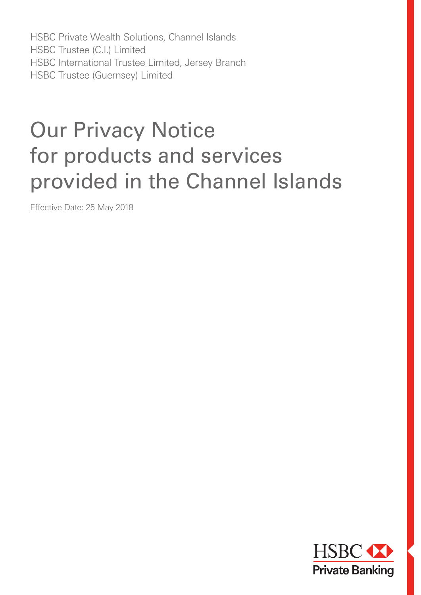HSBC Private Wealth Solutions, Channel Islands HSBC Trustee (C.I.) Limited HSBC International Trustee Limited, Jersey Branch HSBC Trustee (Guernsey) Limited

# Our Privacy Notice for products and services provided in the Channel Islands

Effective Date: 25 May 2018

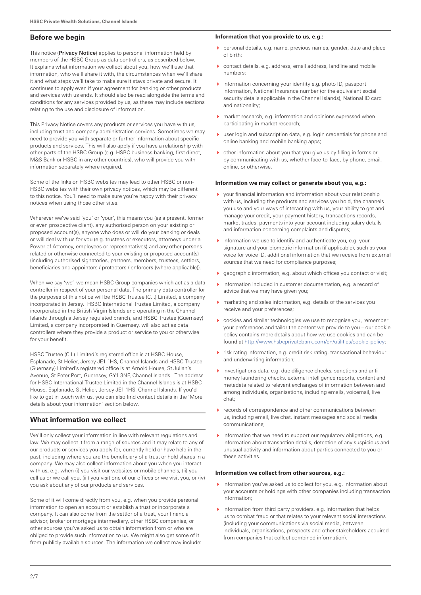# **Before we begin**

This notice (Privacy Notice) applies to personal information held by members of the HSBC Group as data controllers, as described below. It explains what information we collect about you, how we'll use that information, who we'll share it with, the circumstances when we'll share it and what steps we'll take to make sure it stays private and secure. It continues to apply even if your agreement for banking or other products and services with us ends. It should also be read alongside the terms and conditions for any services provided by us, as these may include sections relating to the use and disclosure of information.

This Privacy Notice covers any products or services you have with us, including trust and company administration services. Sometimes we may need to provide you with separate or further information about specific products and services. This will also apply if you have a relationship with other parts of the HSBC Group (e.g. HSBC business banking, first direct, M&S Bank or HSBC in any other countries), who will provide you with information separately where required.

Some of the links on HSBC websites may lead to other HSBC or non-HSBC websites with their own privacy notices, which may be different to this notice. You'll need to make sure you're happy with their privacy notices when using those other sites.

Wherever we've said 'you' or 'your', this means you (as a present, former or even prospective client), any authorised person on your existing or proposed account(s), anyone who does or will do your banking or deals or will deal with us for you (e.g. trustees or executors, attorneys under a Power of Attorney, employees or representatives) and any other persons related or otherwise connected to your existing or proposed account(s) (including authorised signatories, partners, members, trustees, settlors, beneficiaries and appointors / protectors / enforcers (where applicable)).

When we say 'we', we mean HSBC Group companies which act as a data controller in respect of your personal data. The primary data controller for the purposes of this notice will be HSBC Trustee (C.I.) Limited, a company incorporated in Jersey. HSBC International Trustee Limited, a company incorporated in the British Virgin Islands and operating in the Channel Islands through a Jersey regulated branch, and HSBC Trustee (Guernsey) Limited, a company incorporated in Guernsey, will also act as data controllers where they provide a product or service to you or otherwise for your benefit.

HSBC Trustee (C.I.) Limited's registered office is at HSBC House, Esplanade, St Helier, Jersey JE1 1HS, Channel Islands and HSBC Trustee (Guernsey) Limited's registered office is at Arnold House, St Julian's Avenue, St Peter Port, Guernsey, GY1 3NF, Channel Islands. The address for HSBC International Trustee Limited in the Channel Islands is at HSBC House, Esplanade, St Helier, Jersey JE1 1HS, Channel Islands. If you'd like to get in touch with us, you can also find contact details in the 'More details about your information' section below.

# **What information we collect**

We'll only collect your information in line with relevant regulations and law. We may collect it from a range of sources and it may relate to any of our products or services you apply for, currently hold or have held in the past, including where you are the beneficiary of a trust or hold shares in a company. We may also collect information about you when you interact with us, e.g. when (i) you visit our websites or mobile channels, (ii) you call us or we call you, (iii) you visit one of our offices or we visit you, or (iv) you ask about any of our products and services.

Some of it will come directly from you, e.g. when you provide personal information to open an account or establish a trust or incorporate a company. It can also come from the settlor of a trust, your financial advisor, broker or mortgage intermediary, other HSBC companies, or other sources you've asked us to obtain information from or who are obliged to provide such information to us. We might also get some of it from publicly available sources. The information we collect may include:

## **Information that you provide to us, e.g.:**

- $\triangleright$  personal details, e.g. name, previous names, gender, date and place of birth;
- contact details, e.g. address, email address, landline and mobile numbers;
- $\triangleright$  information concerning your identity e.g. photo ID, passport information, National Insurance number (or the equivalent social security details applicable in the Channel Islands), National ID card and nationality;
- market research, e.g. information and opinions expressed when participating in market research;
- user login and subscription data, e.g. login credentials for phone and online banking and mobile banking apps;
- other information about you that you give us by filling in forms or by communicating with us, whether face-to-face, by phone, email, online, or otherwise.

## **Information we may collect or generate about you, e.g.:**

- your financial information and information about your relationship with us, including the products and services you hold, the channels you use and your ways of interacting with us, your ability to get and manage your credit, your payment history, transactions records, market trades, payments into your account including salary details and information concerning complaints and disputes;
- $\blacktriangleright$  information we use to identify and authenticate you, e.g. your signature and your biometric information (if applicable), such as your voice for voice ID, additional information that we receive from external sources that we need for compliance purposes;
- geographic information, e.g. about which offices you contact or visit;
- **information included in customer documentation, e.g. a record of** advice that we may have given you;
- marketing and sales information, e.g. details of the services you receive and your preferences;
- cookies and similar technologies we use to recognise you, remember your preferences and tailor the content we provide to you – our cookie policy contains more details about how we use cookies and can be found at http://www.hsbcprivatebank.com/en/utilities/cookie-policy;
- risk rating information, e.g. credit risk rating, transactional behaviour and underwriting information;
- investigations data, e.g. due diligence checks, sanctions and antimoney laundering checks, external intelligence reports, content and metadata related to relevant exchanges of information between and among individuals, organisations, including emails, voicemail, live chat;
- records of correspondence and other communications between us, including email, live chat, instant messages and social media communications;
- $\blacktriangleright$  information that we need to support our regulatory obligations, e.g. information about transaction details, detection of any suspicious and unusual activity and information about parties connected to you or these activities.

## **Information we collect from other sources, e.g.:**

- information you've asked us to collect for you, e.g. information about your accounts or holdings with other companies including transaction information;
- $\blacktriangleright$  information from third party providers, e.g. information that helps us to combat fraud or that relates to your relevant social interactions (including your communications via social media, between individuals, organisations, prospects and other stakeholders acquired from companies that collect combined information).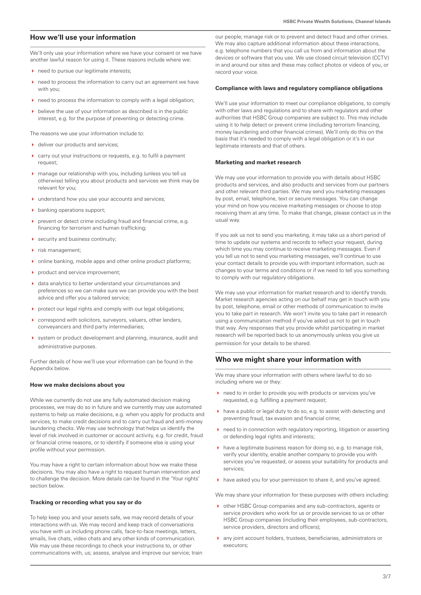## **How we'll use your information**

We'll only use your information where we have your consent or we have another lawful reason for using it. These reasons include where we:

- need to pursue our legitimate interests;
- need to process the information to carry out an agreement we have with you;
- need to process the information to comply with a legal obligation;
- $\rightarrow$  believe the use of your information as described is in the public interest, e.g. for the purpose of preventing or detecting crime.

The reasons we use your information include to:

- ▶ deliver our products and services:
- carry out your instructions or requests, e.g. to fulfil a payment request;
- manage our relationship with you, including (unless you tell us otherwise) telling you about products and services we think may be relevant for you;
- understand how you use your accounts and services;
- banking operations support;
- prevent or detect crime including fraud and financial crime, e.g. financing for terrorism and human trafficking;
- ▶ security and business continuity;
- ▶ risk management;
- online banking, mobile apps and other online product platforms;
- product and service improvement;
- data analytics to better understand your circumstances and preferences so we can make sure we can provide you with the best advice and offer you a tailored service;
- protect our legal rights and comply with our legal obligations;
- correspond with solicitors, surveyors, valuers, other lenders, conveyancers and third party intermediaries;
- system or product development and planning, insurance, audit and administrative purposes.

Further details of how we'll use your information can be found in the Appendix below.

## **How we make decisions about you**

While we currently do not use any fully automated decision making processes, we may do so in future and we currently may use automated systems to help us make decisions, e.g. when you apply for products and services, to make credit decisions and to carry out fraud and anti-money laundering checks. We may use technology that helps us identify the level of risk involved in customer or account activity, e.g. for credit, fraud or financial crime reasons, or to identify if someone else is using your profile without your permission.

You may have a right to certain information about how we make these decisions. You may also have a right to request human intervention and to challenge the decision. More details can be found in the 'Your rights' section below.

#### **Tracking or recording what you say or do**

To help keep you and your assets safe, we may record details of your interactions with us. We may record and keep track of conversations you have with us including phone calls, face-to-face meetings, letters, emails, live chats, video chats and any other kinds of communication. We may use these recordings to check your instructions to, or other communications with, us; assess, analyse and improve our service; train

our people; manage risk or to prevent and detect fraud and other crimes. We may also capture additional information about these interactions, e.g. telephone numbers that you call us from and information about the devices or software that you use. We use closed circuit television (CCTV) in and around our sites and these may collect photos or videos of you, or record your voice.

#### **Compliance with laws and regulatory compliance obligations**

We'll use your information to meet our compliance obligations, to comply with other laws and regulations and to share with regulators and other authorities that HSBC Group companies are subject to. This may include using it to help detect or prevent crime (including terrorism financing, money laundering and other financial crimes). We'll only do this on the basis that it's needed to comply with a legal obligation or it's in our legitimate interests and that of others.

#### **Marketing and market research**

We may use your information to provide you with details about HSBC products and services, and also products and services from our partners and other relevant third parties. We may send you marketing messages by post, email, telephone, text or secure messages. You can change your mind on how you receive marketing messages or choose to stop receiving them at any time. To make that change, please contact us in the usual way.

If you ask us not to send you marketing, it may take us a short period of time to update our systems and records to reflect your request, during which time you may continue to receive marketing messages. Even if you tell us not to send you marketing messages, we'll continue to use your contact details to provide you with important information, such as changes to your terms and conditions or if we need to tell you something to comply with our regulatory obligations.

We may use your information for market research and to identify trends. Market research agencies acting on our behalf may get in touch with you by post, telephone, email or other methods of communication to invite you to take part in research. We won't invite you to take part in research using a communication method if you've asked us not to get in touch that way. Any responses that you provide whilst participating in market research will be reported back to us anonymously unless you give us permission for your details to be shared.

## **Who we might share your information with**

We may share your information with others where lawful to do so including where we or they:

- ▶ need to in order to provide you with products or services you've requested, e.g. fulfilling a payment request;
- have a public or legal duty to do so, e.g. to assist with detecting and preventing fraud, tax evasion and financial crime;
- ▶ need to in connection with regulatory reporting, litigation or asserting or defending legal rights and interests;
- $\blacktriangleright$  have a legitimate business reason for doing so, e.g. to manage risk, verify your identity, enable another company to provide you with services you've requested, or assess your suitability for products and services;
- have asked you for your permission to share it, and you've agreed.

We may share your information for these purposes with others including:

- other HSBC Group companies and any sub-contractors, agents or service providers who work for us or provide services to us or other HSBC Group companies (including their employees, sub-contractors, service providers, directors and officers);
- any joint account holders, trustees, beneficiaries, administrators or executors;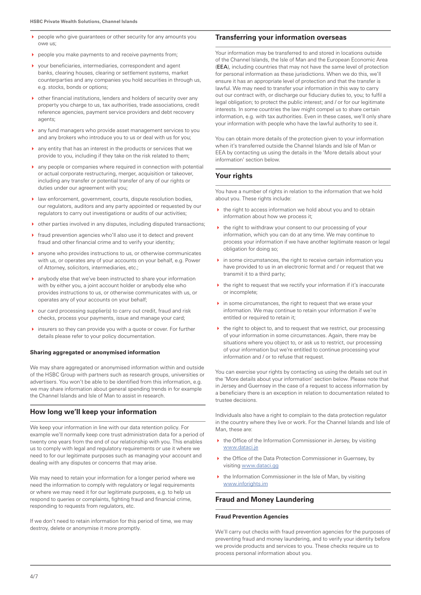- people who give guarantees or other security for any amounts you owe us;
- people you make payments to and receive payments from;
- $\triangleright$  vour beneficiaries, intermediaries, correspondent and agent banks, clearing houses, clearing or settlement systems, market counterparties and any companies you hold securities in through us, e.g. stocks, bonds or options;
- other financial institutions, lenders and holders of security over any property you charge to us, tax authorities, trade associations, credit reference agencies, payment service providers and debt recovery agents;
- any fund managers who provide asset management services to you and any brokers who introduce you to us or deal with us for you;
- any entity that has an interest in the products or services that we provide to you, including if they take on the risk related to them;
- any people or companies where required in connection with potential or actual corporate restructuring, merger, acquisition or takeover, including any transfer or potential transfer of any of our rights or duties under our agreement with you;
- law enforcement, government, courts, dispute resolution bodies, our regulators, auditors and any party appointed or requested by our regulators to carry out investigations or audits of our activities;
- other parties involved in any disputes, including disputed transactions;
- fraud prevention agencies who'll also use it to detect and prevent fraud and other financial crime and to verify your identity;
- anyone who provides instructions to us, or otherwise communicates with us, or operates any of your accounts on your behalf, e.g. Power of Attorney, solicitors, intermediaries, etc.;
- anybody else that we've been instructed to share your information with by either you, a joint account holder or anybody else who provides instructions to us, or otherwise communicates with us, or operates any of your accounts on your behalf;
- our card processing supplier(s) to carry out credit, fraud and risk checks, process your payments, issue and manage your card;
- insurers so they can provide you with a quote or cover. For further details please refer to your policy documentation.

## **Sharing aggregated or anonymised information**

We may share aggregated or anonymised information within and outside of the HSBC Group with partners such as research groups, universities or advertisers. You won't be able to be identified from this information, e.g. we may share information about general spending trends in for example the Channel Islands and Isle of Man to assist in research.

## **How long we'll keep your information**

We keep your information in line with our data retention policy. For example we'll normally keep core trust administration data for a period of twenty one years from the end of our relationship with you. This enables us to comply with legal and regulatory requirements or use it where we need to for our legitimate purposes such as managing your account and dealing with any disputes or concerns that may arise.

We may need to retain your information for a longer period where we need the information to comply with regulatory or legal requirements or where we may need it for our legitimate purposes, e.g. to help us respond to queries or complaints, fighting fraud and financial crime, responding to requests from regulators, etc.

If we don't need to retain information for this period of time, we may destroy, delete or anonymise it more promptly.

## **Transferring your information overseas**

Your information may be transferred to and stored in locations outside of the Channel Islands, the Isle of Man and the European Economic Area (EEA), including countries that may not have the same level of protection for personal information as these jurisdictions. When we do this, we'll ensure it has an appropriate level of protection and that the transfer is lawful. We may need to transfer your information in this way to carry out our contract with, or discharge our fiduciary duties to, you; to fulfil a legal obligation; to protect the public interest; and / or for our legitimate interests. In some countries the law might compel us to share certain information, e.g. with tax authorities. Even in these cases, we'll only share your information with people who have the lawful authority to see it.

You can obtain more details of the protection given to your information when it's transferred outside the Channel Islands and Isle of Man or EEA by contacting us using the details in the 'More details about your information' section below.

# **Your rights**

You have a number of rights in relation to the information that we hold about you. These rights include:

- $\blacktriangleright$  the right to access information we hold about you and to obtain information about how we process it;
- $\rightarrow$  the right to withdraw your consent to our processing of your information, which you can do at any time. We may continue to process your information if we have another legitimate reason or legal obligation for doing so;
- $\triangleright$  in some circumstances, the right to receive certain information you have provided to us in an electronic format and / or request that we transmit it to a third party;
- $\blacktriangleright$  the right to request that we rectify your information if it's inaccurate or incomplete;
- $\blacktriangleright$  in some circumstances, the right to request that we erase your information. We may continue to retain your information if we're entitled or required to retain it;
- $\blacktriangleright$  the right to object to, and to request that we restrict, our processing of your information in some circumstances. Again, there may be situations where you object to, or ask us to restrict, our processing of your information but we're entitled to continue processing your information and / or to refuse that request.

You can exercise your rights by contacting us using the details set out in the 'More details about your information' section below. Please note that in Jersey and Guernsey in the case of a request to access information by a beneficiary there is an exception in relation to documentation related to trustee decisions.

Individuals also have a right to complain to the data protection regulator in the country where they live or work. For the Channel Islands and Isle of Man, these are:

- $\rightarrow$  the Office of the Information Commissioner in Jersey, by visiting www.dataci.je
- ▶ the Office of the Data Protection Commissioner in Guernsey, by visiting www.dataci.gg
- $\blacktriangleright$  the Information Commissioner in the Isle of Man, by visiting www.inforights.im

## **Fraud and Money Laundering**

## **Fraud Prevention Agencies**

We'll carry out checks with fraud prevention agencies for the purposes of preventing fraud and money laundering, and to verify your identity before we provide products and services to you. These checks require us to process personal information about you.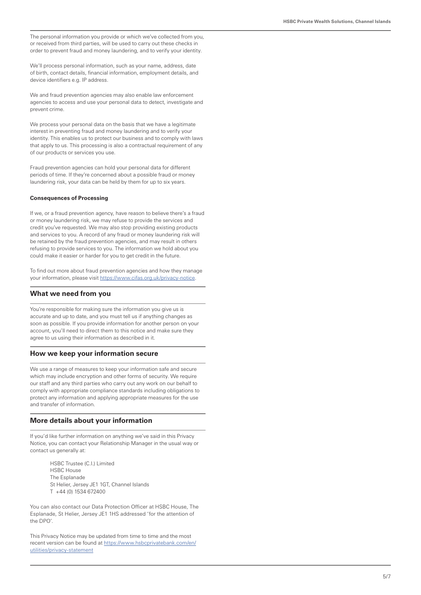The personal information you provide or which we've collected from you, or received from third parties, will be used to carry out these checks in order to prevent fraud and money laundering, and to verify your identity.

We'll process personal information, such as your name, address, date of birth, contact details, financial information, employment details, and device identifiers e.g. IP address.

We and fraud prevention agencies may also enable law enforcement agencies to access and use your personal data to detect, investigate and prevent crime.

We process your personal data on the basis that we have a legitimate interest in preventing fraud and money laundering and to verify your identity. This enables us to protect our business and to comply with laws that apply to us. This processing is also a contractual requirement of any of our products or services you use.

Fraud prevention agencies can hold your personal data for different periods of time. If they're concerned about a possible fraud or money laundering risk, your data can be held by them for up to six years.

## **Consequences of Processing**

If we, or a fraud prevention agency, have reason to believe there's a fraud or money laundering risk, we may refuse to provide the services and credit you've requested. We may also stop providing existing products and services to you. A record of any fraud or money laundering risk will be retained by the fraud prevention agencies, and may result in others refusing to provide services to you. The information we hold about you could make it easier or harder for you to get credit in the future.

To find out more about fraud prevention agencies and how they manage your information, please visit https://www.cifas.org.uk/privacy-notice.

## **What we need from you**

You're responsible for making sure the information you give us is accurate and up to date, and you must tell us if anything changes as soon as possible. If you provide information for another person on your account, you'll need to direct them to this notice and make sure they agree to us using their information as described in it.

## **How we keep your information secure**

We use a range of measures to keep your information safe and secure which may include encryption and other forms of security. We require our staff and any third parties who carry out any work on our behalf to comply with appropriate compliance standards including obligations to protect any information and applying appropriate measures for the use and transfer of information.

## **More details about your information**

If you'd like further information on anything we've said in this Privacy Notice, you can contact your Relationship Manager in the usual way or contact us generally at:

> HSBC Trustee (C.I.) Limited HSBC House The Esplanade St Helier, Jersey JE1 1GT, Channel Islands T +44 (0) 1534 672400

You can also contact our Data Protection Officer at HSBC House, The Esplanade, St Helier, Jersey JE1 1HS addressed 'for the attention of the DPO'.

This Privacy Notice may be updated from time to time and the most recent version can be found at https://www.hsbcprivatebank.com/en/ utilities/privacy-statement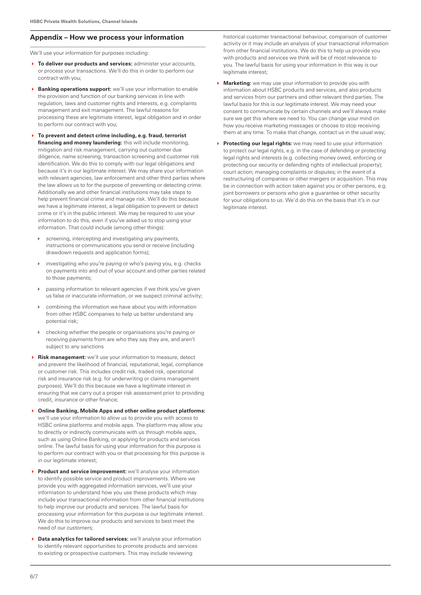# **Appendix – How we process your information**

We'll use your information for purposes including:

- **To deliver our products and services:** administer your accounts, or process your transactions. We'll do this in order to perform our contract with you;
- **Banking operations support:** we'll use your information to enable the provision and function of our banking services in line with regulation, laws and customer rights and interests, e.g. complaints management and exit management. The lawful reasons for processing these are legitimate interest, legal obligation and in order to perform our contract with you;
- **To prevent and detect crime including, e.g. fraud, terrorist financing and money laundering:** this will include monitoring, mitigation and risk management, carrying out customer due diligence, name screening, transaction screening and customer risk identification. We do this to comply with our legal obligations and because it's in our legitimate interest. We may share your information with relevant agencies, law enforcement and other third parties where the law allows us to for the purpose of preventing or detecting crime. Additionally we and other financial institutions may take steps to help prevent financial crime and manage risk. We'll do this because we have a legitimate interest, a legal obligation to prevent or detect crime or it's in the public interest. We may be required to use your information to do this, even if you've asked us to stop using your information. That could include (among other things):
	- screening, intercepting and investigating any payments, instructions or communications you send or receive (including drawdown requests and application forms);
	- investigating who you're paying or who's paying you, e.g. checks on payments into and out of your account and other parties related to those payments;
	- passing information to relevant agencies if we think you've given us false or inaccurate information, or we suspect criminal activity;
	- combining the information we have about you with information from other HSBC companies to help us better understand any potential risk;
- checking whether the people or organisations you're paying or receiving payments from are who they say they are, and aren't subject to any sanctions
- **Risk management:** we'll use your information to measure, detect and prevent the likelihood of financial, reputational, legal, compliance or customer risk. This includes credit risk, traded risk, operational risk and insurance risk (e.g. for underwriting or claims management purposes). We'll do this because we have a legitimate interest in ensuring that we carry out a proper risk assessment prior to providing credit, insurance or other finance;
- **Online Banking, Mobile Apps and other online product platforms:**  we'll use your information to allow us to provide you with access to HSBC online platforms and mobile apps. The platform may allow you to directly or indirectly communicate with us through mobile apps, such as using Online Banking, or applying for products and services online. The lawful basis for using your information for this purpose is to perform our contract with you or that processing for this purpose is in our legitimate interest;
- **Product and service improvement:** we'll analyse your information to identify possible service and product improvements. Where we provide you with aggregated information services, we'll use your information to understand how you use these products which may include your transactional information from other financial institutions to help improve our products and services. The lawful basis for processing your information for this purpose is our legitimate interest. We do this to improve our products and services to best meet the need of our customers;
- **Data analytics for tailored services:** we'll analyse your information to identify relevant opportunities to promote products and services to existing or prospective customers. This may include reviewing

historical customer transactional behaviour, comparison of customer activity or it may include an analysis of your transactional information from other financial institutions. We do this to help us provide you with products and services we think will be of most relevance to you. The lawful basis for using your information in this way is our legitimate interest:

- **Marketing:** we may use your information to provide you with information about HSBC products and services, and also products and services from our partners and other relevant third parties. The lawful basis for this is our legitimate interest. We may need your consent to communicate by certain channels and we'll always make sure we get this where we need to. You can change your mind on how you receive marketing messages or choose to stop receiving them at any time. To make that change, contact us in the usual way;
- **Protecting our legal rights:** we may need to use your information to protect our legal rights, e.g. in the case of defending or protecting legal rights and interests (e.g. collecting money owed, enforcing or protecting our security or defending rights of intellectual property); court action; managing complaints or disputes; in the event of a restructuring of companies or other mergers or acquisition. This may be in connection with action taken against you or other persons, e.g. joint borrowers or persons who give a guarantee or other security for your obligations to us. We'd do this on the basis that it's in our legitimate interest.